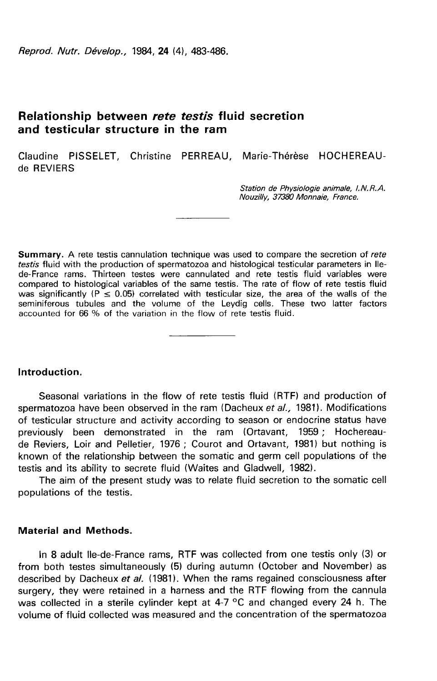Reprod. Nutr. Dévelop., 1984, 24 (4), 483-486.

# Relationship between rete testis fluid secretion and testicular structure in the ram

Claudine PISSELET, Christine PERREAU Marie-Thérèse HOCHEREAUde REVIERS

> Station de Physiologie animale, I.N.R.A. Nouzilly, 37380 Monnaie, France.

**Summary.** A rete testis cannulation technique was used to compare the secretion of rete testis fluid with the production of spermatozoa and histological testicular parameters in Ilede-France rams. Thirteen testes were cannulated and rete testis fluid variables were compared to histological variables of the same testis. The rate of flow of rete testis fluid was significantly  $(P \le 0.05)$  correlated with testicular size, the area of the walls of the seminiferous tubules and the volume of the Leydig cells. These two latter factors accounted for 66 % of the variation in the flow of rete testis fluid.

# Introduction.

Seasonal variations in the flow of rete testis fluid (RTF) and production of spermatozoa have been observed in the ram (Dacheux et al., 1981). Modifications of testicular structure and activity according to season or endocrine status have previously been demonstrated in the ram (Ortavant, 1959 ; Hochereaude Reviers, Loir and Pelletier, 1976 ; Courot and Ortavant, 1981) but nothing is known of the relationship between the somatic and germ cell populations of the testis and its ability to secrete fluid (Waites and Gladwell, 1982).

The aim of the present study was to relate fluid secretion to the somatic cell populations of the testis.

# Material and Methods.

In 8 adult Ile-de-France rams, RTF was collected from one testis only (3) or from both testes simultaneously (5) during autumn (October and November) as described by Dacheux et al. (1981). When the rams regained consciousness after surgery, they were retained in a harness and the RTF flowing from the cannula was collected in a sterile cylinder kept at 4-7 °C and changed every 24 h. The volume of fluid collected was measured and the concentration of the spermatozoa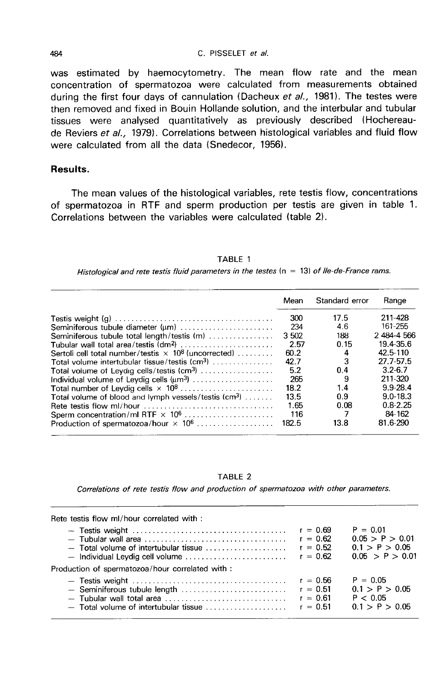#### C. PISSELET et al.

was estimated by haemocytometry. The mean flow rate and the mean concentration of spermatozoa were calculated from measurements obtained during the first four days of cannulation (Dacheux et al., 1981). The testes were then removed and fixed in Bouin Hollande solution, and the interbular and tubular tissues were analysed quantitatively as previously described (Hochereaude Reviers et al., 1979). Correlations between histological variables and fluid flow were calculated from all the data (Snedecor, 1956).

### Results.

The mean values of the histological variables, rete testis flow, concentrations of spermatozoa in RTF and sperm production per testis are given in table 1. Correlations between the variables were calculated (table 2).

TABLE 1 Histological and rete testis fluid parameters in the testes  $(n = 13)$  of Ile-de-France rams.

|                                                                         | Mean  | Standard error | Range        |
|-------------------------------------------------------------------------|-------|----------------|--------------|
|                                                                         | 300   | 17.5           | 211-428      |
| Seminiferous tubule diameter (um)                                       | 234   | 46             | 161-255      |
| Seminiferous tubule total length/testis (m)                             | 3 502 | 188            | 2 484-4 566  |
|                                                                         | 2.57  | 0.15           | 19.4-35.6    |
| Sertoli cell total number/testis $\times$ 10 <sup>8</sup> (uncorrected) | 60.2  | 4              | 42.5-110     |
| Total volume intertubular tissue/testis (cm <sup>3</sup> )              | 42.7  | -3             | 27.7-57.5    |
| Total volume of Leydig cells/testis (cm <sup>3</sup> )                  | 5.2   | 0.4            | $3.2 - 6.7$  |
| Individual volume of Levdig cells $\langle \mu m^3 \rangle$             | 265   | 9              | 211-320      |
| Total number of Leydig cells $\times$ 10 <sup>8</sup>                   | 18.2  | 1.4            | $9.9 - 28.4$ |
| Total volume of blood and lymph vessels/testis $(cm^3)$                 | 13.5  | 0.9            | $9.0 - 18.3$ |
| Rete testis flow ml/hour                                                | 1.65  | 0.08           | $0.8 - 2.25$ |
|                                                                         | 116   | 7              | 84-162       |
| Production of spermatozoa/hour $\times$ 10 <sup>6</sup>                 | 182.5 | 13.8           | 81.6-290     |

TABLE<sub>2</sub>

Correlations of rete testis flow and production of spermatozoa with other parameters.

Rete testis flow ml/hour correlated with

| $11010$ 10000 11077 1111/11001 0011010100 171111 1                                                                                                     |                                                      |                                                                    |
|--------------------------------------------------------------------------------------------------------------------------------------------------------|------------------------------------------------------|--------------------------------------------------------------------|
| $-$ Total volume of intertubular tissue $\ldots \ldots \ldots \ldots$<br>$-$ Individual Leydig cell volume $\ldots \ldots \ldots \ldots \ldots \ldots$ | $r = 0.69$<br>$r = 0.62$<br>$r = 0.52$<br>$r = 0.62$ | $P = 0.01$<br>0.05 > P > 0.01<br>0.1 > P > 0.05<br>0.05 > P > 0.01 |
| Production of spermatozoa/hour correlated with :                                                                                                       |                                                      |                                                                    |
|                                                                                                                                                        | $r = 0.51$<br>$r = 0.61$                             | $P = 0.05$<br>0.1 > P > 0.05<br>P < 0.05<br>0.1 > P > 0.05         |

484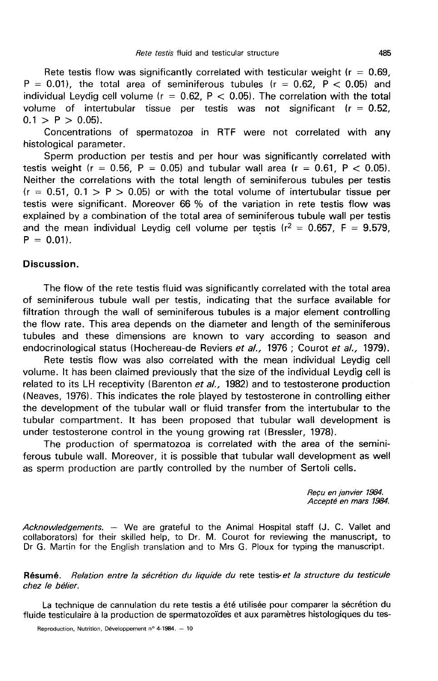Rete testis flow was significantly correlated with testicular weight ( $r = 0.69$ ,  $P = 0.01$ , the total area of seminiferous tubules ( $r = 0.62$ ,  $P < 0.05$ ) and individual Leydig cell volume ( $r = 0.62$ ,  $P < 0.05$ ). The correlation with the total volume of intertubular tissue per testis was not significant  $(r = 0.52)$ ,  $0.1 > P > 0.05$ .

Concentrations of spermatozoa in RTF were not correlated with any histological parameter.

Sperm production per testis and per hour was significantly correlated with testis weight ( $r = 0.56$ ,  $P = 0.05$ ) and tubular wall area ( $r = 0.61$ ,  $P < 0.05$ ). Neither the correlations with the total length of seminiferous tubules per testis  $(r = 0.51, 0.1 > P > 0.05)$  or with the total volume of intertubular tissue per testis were significant. Moreover 66 % of the variation in rete testis flow was explained by a combination of the total area of seminiferous tubule wall per testis and the mean individual Leydig cell volume per testis ( $r^2 = 0.657$ , F = 9.579,  $P = 0.01$ .

### Discussion.

The flow of the rete testis fluid was significantly correlated with the total area of seminiferous tubule wall per testis, indicating that the surface available for filtration through the wall of seminiferous tubules is a major element controlling the flow rate. This area depends on the diameter and length of the seminiferous tubules and these dimensions are known to vary according to season and endocrinological status (Hochereau-de Reviers et al., 1976 ; Courot et al., 1979).

Rete testis flow was also correlated with the mean individual Leydig cell volume. It has been claimed previously that the size of the individual Leydig cell is related to its LH receptivity (Barenton  $et al.,$  1982) and to testosterone production (Neaves, 1976). This indicates the role played by testosterone in controlling either the development of the tubular wall or fluid transfer from the intertubular to the tubular compartment. It has been proposed that tubular wall development is under testosterone control in the young growing rat (Bressler, 1978).

The production of spermatozoa is correlated with the area of the seminiferous tubule wall. Moreover, it is possible that tubular wall development as well as sperm production are partly controlled by the number of Sertoli cells.

> Reçu en janvier 1984. Accepté en mars 1984.

Acknowledgements. — We are grateful to the Animal Hospital staff (J. C. Vallet and collaborators) for their skilled help, to Dr. M. Courot for reviewing the manuscript, to Dr G. Martin for the English translation and to Mrs G. Ploux for typing the manuscript.

### Résumé. Relation entre la sécrétion du liquide du rete testis-et la structure du testicule chez le bélier.

La technique de cannulation du rete testis a été utilisée pour comparer la sécrétion du fluide testiculaire à la production de spermatozoïdes et aux paramètres histologiques du tes-

Reproduction, Nutrition, Développement nº 4-1984. - 10